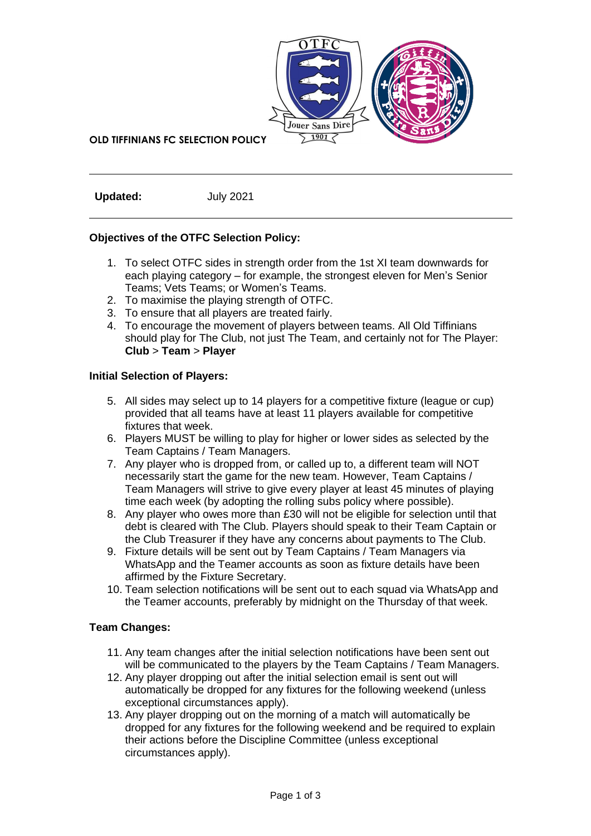

**OLD TIFFINIANS FC SELECTION POLICY**

**Updated:** July 2021

## **Objectives of the OTFC Selection Policy:**

- 1. To select OTFC sides in strength order from the 1st XI team downwards for each playing category – for example, the strongest eleven for Men's Senior Teams; Vets Teams; or Women's Teams.
- 2. To maximise the playing strength of OTFC.
- 3. To ensure that all players are treated fairly.
- 4. To encourage the movement of players between teams. All Old Tiffinians should play for The Club, not just The Team, and certainly not for The Player: **Club** > **Team** > **Player**

#### **Initial Selection of Players:**

- 5. All sides may select up to 14 players for a competitive fixture (league or cup) provided that all teams have at least 11 players available for competitive fixtures that week.
- 6. Players MUST be willing to play for higher or lower sides as selected by the Team Captains / Team Managers.
- 7. Any player who is dropped from, or called up to, a different team will NOT necessarily start the game for the new team. However, Team Captains / Team Managers will strive to give every player at least 45 minutes of playing time each week (by adopting the rolling subs policy where possible).
- 8. Any player who owes more than £30 will not be eligible for selection until that debt is cleared with The Club. Players should speak to their Team Captain or the Club Treasurer if they have any concerns about payments to The Club.
- 9. Fixture details will be sent out by Team Captains / Team Managers via WhatsApp and the Teamer accounts as soon as fixture details have been affirmed by the Fixture Secretary.
- 10. Team selection notifications will be sent out to each squad via WhatsApp and the Teamer accounts, preferably by midnight on the Thursday of that week.

## **Team Changes:**

- 11. Any team changes after the initial selection notifications have been sent out will be communicated to the players by the Team Captains / Team Managers.
- 12. Any player dropping out after the initial selection email is sent out will automatically be dropped for any fixtures for the following weekend (unless exceptional circumstances apply).
- 13. Any player dropping out on the morning of a match will automatically be dropped for any fixtures for the following weekend and be required to explain their actions before the Discipline Committee (unless exceptional circumstances apply).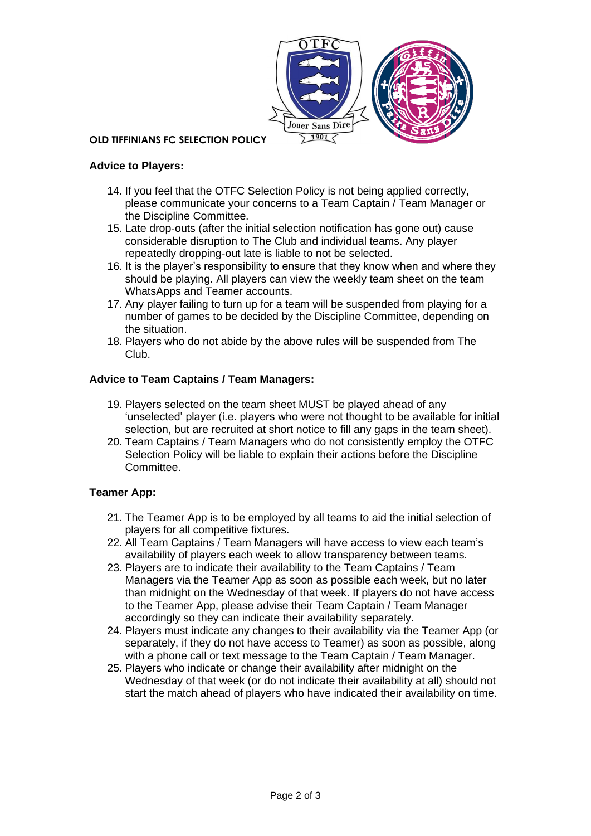

#### **OLD TIFFINIANS FC SELECTION POLICY**

### **Advice to Players:**

- 14. If you feel that the OTFC Selection Policy is not being applied correctly, please communicate your concerns to a Team Captain / Team Manager or the Discipline Committee.
- 15. Late drop-outs (after the initial selection notification has gone out) cause considerable disruption to The Club and individual teams. Any player repeatedly dropping-out late is liable to not be selected.
- 16. It is the player's responsibility to ensure that they know when and where they should be playing. All players can view the weekly team sheet on the team WhatsApps and Teamer accounts.
- 17. Any player failing to turn up for a team will be suspended from playing for a number of games to be decided by the Discipline Committee, depending on the situation.
- 18. Players who do not abide by the above rules will be suspended from The Club.

#### **Advice to Team Captains / Team Managers:**

- 19. Players selected on the team sheet MUST be played ahead of any 'unselected' player (i.e. players who were not thought to be available for initial selection, but are recruited at short notice to fill any gaps in the team sheet).
- 20. Team Captains / Team Managers who do not consistently employ the OTFC Selection Policy will be liable to explain their actions before the Discipline Committee.

## **Teamer App:**

- 21. The Teamer App is to be employed by all teams to aid the initial selection of players for all competitive fixtures.
- 22. All Team Captains / Team Managers will have access to view each team's availability of players each week to allow transparency between teams.
- 23. Players are to indicate their availability to the Team Captains / Team Managers via the Teamer App as soon as possible each week, but no later than midnight on the Wednesday of that week. If players do not have access to the Teamer App, please advise their Team Captain / Team Manager accordingly so they can indicate their availability separately.
- 24. Players must indicate any changes to their availability via the Teamer App (or separately, if they do not have access to Teamer) as soon as possible, along with a phone call or text message to the Team Captain / Team Manager.
- 25. Players who indicate or change their availability after midnight on the Wednesday of that week (or do not indicate their availability at all) should not start the match ahead of players who have indicated their availability on time.